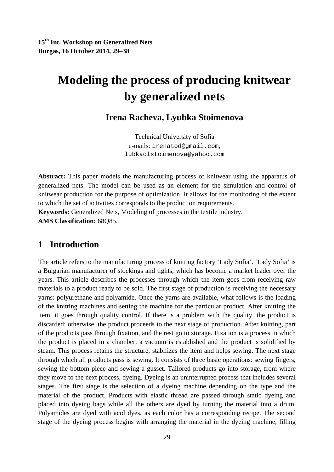**15th Int. Workshop on Generalized Nets Burgas, 16 October 2014, 29–38** 

# **Modeling the process of producing knitwear by generalized nets**

**Irena Racheva, Lyubka Stoimenova** 

Technical University of Sofia e-mails: irenatod@gmail.com, lubkaolstoimenova@yahoo.com

**Abstract:** This paper models the manufacturing process of knitwear using the apparatus of generalized nets. The model can be used as an element for the simulation and control of knitwear production for the purpose of optimization. It allows for the monitoring of the extent to which the set of activities corresponds to the production requirements.

**Keywords:** Generalized Nets, Modeling of processes in the textile industry. **AMS Classification:** 68Q85.

### **1 Introduction**

The article refers to the manufacturing process of knitting factory 'Lady Sofia'. 'Lady Sofia' is a Bulgarian manufacturer of stockings and tights, which has become a market leader over the years. This article describes the processes through which the item goes from receiving raw materials to a product ready to be sold. The first stage of production is receiving the necessary yarns: polyurethane and polyamide. Once the yarns are available, what follows is the loading of the knitting machines and setting the machine for the particular product. After knitting the item, it goes through quality control. If there is a problem with the quality, the product is discarded; otherwise, the product proceeds to the next stage of production. After knitting, part of the products pass through fixation, and the rest go to storage. Fixation is a process in which the product is placed in a chamber, a vacuum is established and the product is solidified by steam. This process retains the structure, stabilizes the item and helps sewing. The next stage through which all products pass is sewing. It consists of three basic operations: sewing fingers, sewing the bottom piece and sewing a gusset. Tailored products go into storage, from where they move to the next process, dyeing. Dyeing is an uninterrupted process that includes several stages. The first stage is the selection of a dyeing machine depending on the type and the material of the product. Products with elastic thread are passed through static dyeing and placed into dyeing bags while all the others are dyed by turning the material into a drum. Polyamides are dyed with acid dyes, as each color has a corresponding recipe. The second stage of the dyeing process begins with arranging the material in the dyeing machine, filling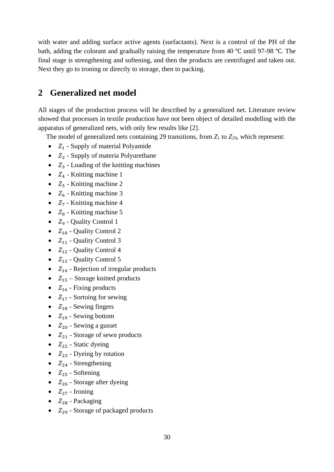with water and adding surface active agents (surfactants). Next is a control of the PH of the bath, adding the colorant and gradually raising the temperature from 40 ℃ until 97-98 ℃. The final stage is strengthening and softening, and then the products are centrifuged and taken out. Next they go to ironing or directly to storage, then to packing.

## **2 Generalized net model**

All stages of the production process will be described by a generalized net. Literature review showed that processes in textile production have not been object of detailed modelling with the apparatus of generalized nets, with only few results like [2].

The model of generalized nets containing 29 transitions, from  $Z_1$  to  $Z_2$ <sub>9</sub>, which represent:

- $Z_1$  Supply of material Polyamide
- $Z_2$  Supply of materia Polyurethane
- $Z_3$  Loading of the knitting machines
- $Z_4$  Knitting machine 1
- $Z_5$  Knitting machine 2
- $Z_6$  Knitting machine 3
- $Z_7$  Knitting machine 4
- $Z_8$  Knitting machine 5
- $Z_9$  Quality Control 1
- $Z_{10}$  Quality Control 2
- $Z_{11}$  Quality Control 3
- $Z_{12}$  Quality Control 4
- $Z_{13}$  Quality Control 5
- $Z_{14}$  Rejection of irregular products
- $Z_{15}$  Storage knitted products
- $Z_{16}$  Fixing products
- $Z_{17}$  Sortoing for sewing
- $Z_{18}$  Sewing fingers
- $Z_{19}$  Sewing bottom
- $Z_{20}$  Sewing a gusset
- $Z_{21}$  Storage of sewn products
- $Z_{22}$  Static dyeing
- $Z_{23}$  Dyeing by rotation
- $Z_{24}$  Strengthening
- $Z_{25}$  Softening
- $Z_{26}$  Storage after dyeing
- $Z_{27}$  Ironing
- $Z_{28}$  Packaging
- $Z_{29}$  Storage of packaged products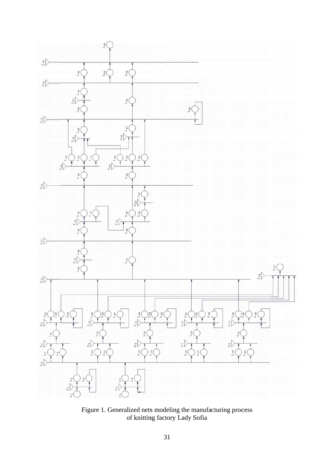

Figure 1. Generalized nets of knittin s modeling g factory L the manufa ady Sofia acturing process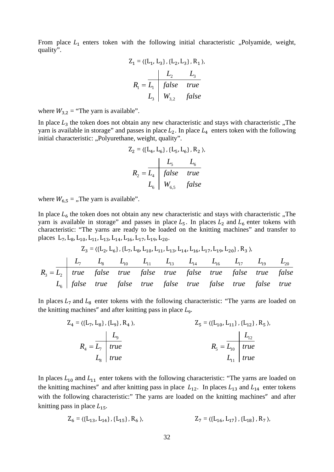From place  $L_1$  enters token with the following initial characteristic "Polyamide, weight, quality".

$$
Z_{1} = \langle \{L_{1}, L_{3}\}, \{L_{2}, L_{3}\}, R_{1} \rangle,
$$
\n
$$
R_{1} = \frac{L_{2}}{L_{1}} \begin{vmatrix} L_{2} & L_{3} \\ false & true \\ U_{3} & W_{3,2} \end{vmatrix}
$$
 false

where  $W_{3,2}$  = "The yarn is available".

In place  $L_3$  the token does not obtain any new characteristic and stays with characteristic "The yarn is available in storage" and passes in place  $L_2$ . In place  $L_4$  enters token with the following initial characteristic: "Polyurethane, weight, quality".

$$
Z_2 = \langle \{L_4, L_6\}, \{L_5, L_6\}, R_2 \rangle,
$$
  

$$
R_2 = \frac{L_4}{L_4} \begin{array}{|c|c|} \hline f_{4} & f_{4} & f_{4} \\ \hline f_{5} & f_{6} & f_{7} \\ \hline \end{array}
$$
  

$$
L_6 \begin{array}{|c|c|} \hline f_{6,5} & f_{7} & f_{8} \\ \hline \end{array}
$$

where  $W_{6,5} =$ , The yarn is available".

In place  $L<sub>6</sub>$  the token does not obtain any new characteristic and stays with characteristic ., The yarn is available in storage" and passes in place  $L_5$ . In places  $L_2$  and  $L_6$  enter tokens with characteristic: "The yarns are ready to be loaded on the knitting machines" and transfer to places  $L_7, L_8, L_{10}, L_{11}, L_{13}, L_{14}, L_{16}, L_{17}, L_{19}, L_{20}.$ 

$$
Z_3 = \langle \{L_2, L_6\}, \{L_7, L_8, L_{10}, L_{11}, L_{13}, L_{14}, L_{16}, L_{17}, L_{19}, L_{20}\}, R_3 \rangle,
$$
  

$$
R_3 = \overline{L_2} \begin{vmatrix} L_7 & L_8 & L_{10} & L_{11} & L_{13} & L_{14} & L_{16} & L_{17} & L_{19} & L_{20} \\ true & false & true & false & true & false & true & false \\ L_6 & false & true & false & true & false & true & false & true \end{vmatrix}
$$

In places  $L_7$  and  $L_8$  enter tokens with the following characteristic: "The yarns are loaded on the knitting machines" and after knitting pass in place  $L_{\rm g}$ .

$$
Z_{4} = \langle \{L_{7}, L_{8}\}, \{L_{9}\}, R_{4} \rangle, \qquad Z_{5} = \langle \{L_{10}, L_{11}\}, \{L_{12}\}, R_{5} \rangle, \nR_{4} = \frac{L_{9}}{L_{9}} \qquad R_{5} = \frac{L_{12}}{L_{10}} \qquad true \nL_{8} \qquad true \qquad L_{11} \qquad true \nL_{12} \qquad true
$$

In places  $L_{10}$  and  $L_{11}$  enter tokens with the following characteristic: "The yarns are loaded on the knitting machines" and after knitting pass in place  $L_{12}$ . In places  $L_{13}$  and  $L_{14}$  enter tokens with the following characteristic:" The yarns are loaded on the knitting machines" and after knitting pass in place  $L_{15}$ .

$$
Z_6 = \langle \{L_{13}, L_{14}\}, \{L_{15}\}, R_6 \rangle, \qquad Z_7 = \langle \{L_{16}, L_{17}\}, \{L_{18}\}, R_7 \rangle,
$$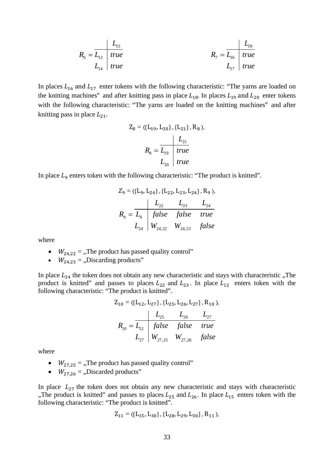$$
R_6 = \frac{L_{15}}{L_{14}} = \frac{L_{15}}{true}
$$
\n
$$
R_7 = \frac{L_{18}}{L_{17}} = \frac{true}{true}
$$
\n
$$
R_8 = \frac{L_{18}}{true}
$$
\n
$$
L_{19} = \frac{true}{true}
$$

In places  $L_{16}$  and  $L_{17}$  enter tokens with the following characteristic: "The yarns are loaded on the knitting machines" and after knitting pass in place  $L_{18}$ . In places  $L_{19}$  and  $L_{20}$  enter tokens with the following characteristic: "The yarns are loaded on the knitting machines" and after knitting pass in place  $L_{21}$ .

$$
Z_8 = \langle \{L_{19}, L_{20}\}, \{L_{21}\}, R_8 \rangle,
$$
  

$$
R_8 = \frac{L_{21}}{L_{19}} \quad true
$$
  

$$
L_{20} \quad true
$$

In place  $L_9$  enters token with the following characteristic: "The product is knitted".

$$
Z_9 = \langle \{L_9, L_{24}\}, \{L_{22}, L_{23}, L_{24}\}, R_9 \rangle,
$$
  

$$
R_9 = \frac{L_{22}}{L_{9}} \begin{array}{|l|}\nL_{22} & L_{23} & L_{24} \\
false & false & true \\
U_{24} & W_{24,22} & W_{24,23} & false\n\end{array}
$$

where

- $W_{24,22}$  = "The product has passed quality control"
- $W_{24,23} =$ , Discarding products"

In place  $L_{24}$  the token does not obtain any new characteristic and stays with characteristic "The product is knitted" and passes to places  $L_{22}$  and  $L_{23}$ . In place  $L_{12}$  enters token with the following characteristic: "The product is knitted".

$$
Z_{10} = \langle \{L_{12}, L_{27}\}, \{L_{25}, L_{26}, L_{27}\}, R_{10} \rangle,
$$
  

$$
R_{10} = \frac{L_{25}}{L_{12}} \begin{array}{|l|} \hline f_{25} & L_{26} & L_{27} \\ \hline f_{25} & f_{26} & true \\ \hline L_{27} & W_{27,25} & W_{27,26} & false \end{array}
$$

where

- $W_{27.25}$  = .,The product has passed quality control"
- $W_{27.26} =$ ,Discarded products"

In place  $L_{27}$  the token does not obtain any new characteristic and stays with characteristic "The product is knitted" and passes to places  $L_{25}$  and  $L_{26}$ . In place  $L_{15}$  enters token with the following characteristic: "The product is knitted".

$$
Z_{11} = \langle \{L_{15}, L_{30}\}, \{L_{28}, L_{29}, L_{30}\}, R_{11} \rangle,
$$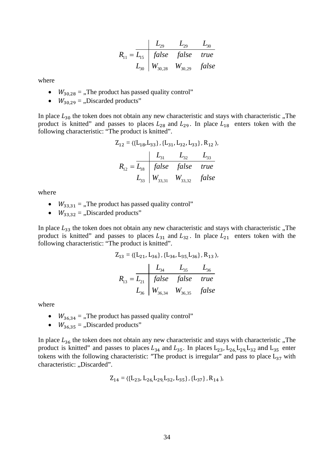$$
R_{11} = \frac{L_{29}}{L_{15}} = \frac{L_{29}}{false} = \frac{L_{29}}{false} = \frac{L_{30}}{true}
$$
  

$$
L_{30} = \frac{W_{30,28}}{W_{30,29}} = \frac{E_{30}}{false}
$$

where

- $\bullet$   $W_{30,28} =$ , The product has passed quality control"
- $W_{30,29} =$  Discarded products"

In place  $L_{30}$  the token does not obtain any new characteristic and stays with characteristic "The product is knitted" and passes to places  $L_{28}$  and  $L_{29}$ . In place  $L_{18}$  enters token with the following characteristic: "The product is knitted".

$$
Z_{12} = \langle \{L_{18}, L_{33}\}, \{L_{31}, L_{32}, L_{33}\}, R_{12} \rangle,
$$
  

$$
R_{12} = \frac{L_{31}}{L_{33}} \begin{array}{|l|}\nL_{31} & L_{32} & L_{33} \\
false & false & true \\
L_{33} & W_{33,31} & W_{33,32} & false\n\end{array}
$$

where 

- $W_{33,31}$  = "The product has passed quality control"
- $W_{33,32} =$ , Discarded products"

In place  $L_{33}$  the token does not obtain any new characteristic and stays with characteristic "The product is knitted" and passes to places  $L_{31}$  and  $L_{32}$ . In place  $L_{21}$  enters token with the following characteristic: "The product is knitted".

$$
Z_{13} = \langle \{L_{21}, L_{36}\}, \{L_{34}, L_{35}, L_{36}\}, R_{13} \rangle,
$$
  

$$
R_{13} = \frac{L_{34}}{L_{35}} = \frac{L_{36}}{false}
$$
  

$$
Z_{13} = \frac{L_{31}}{false}
$$
  

$$
Z_{14} = \frac{L_{36}}{true}
$$
  

$$
Z_{15} = \frac{L_{36}}{W_{36,34}} = \frac{L_{36}}{W_{36,35}}
$$
  

$$
Z_{16} = \frac{L_{36}}{true}
$$

where

- $W_{36,34}$  = ,,The product has passed quality control"
- $W_{36,35} =$  "Discarded products"

In place  $L_{36}$  the token does not obtain any new characteristic and stays with characteristic  $n$ . The product is knitted" and passes to places  $L_{34}$  and  $L_{35}$ . In places  $L_{23}$ ,  $L_{26}$ ,  $L_{29}$ ,  $L_{32}$  and  $L_{35}$  enter tokens with the following characteristic: "The product is irregular" and pass to place  $L_{37}$  with characteristic: "Discarded".

$$
Z_{14} = \langle \{L_{23}, L_{26}, L_{29}, L_{32}, L_{35}\}, \{L_{37}\}, R_{14} \rangle,
$$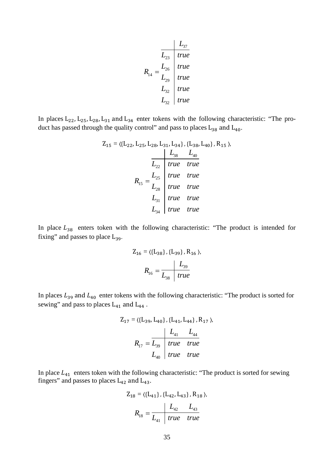$$
R_{14} = \frac{L_{26}}{L_{32}} \begin{vmatrix} \frac{L_{37}}{true} \\ \frac{L_{26}}{true} \\ \frac{L_{32}}{true} \end{vmatrix}
$$
 true  
 
$$
L_{32} = \frac{L_{33}}{true}
$$
 true

In places  $L_{22}$ ,  $L_{25}$ ,  $L_{28}$ ,  $L_{31}$  and  $L_{34}$  enter tokens with the following characteristic: "The product has passed through the quality control" and pass to places  $L_{38}$  and  $L_{40}$ .

$$
Z_{15} = \langle \{L_{22}, L_{25}, L_{28}, L_{31}, L_{34}\}, \{L_{38}, L_{40}\}, R_{15} \rangle,
$$
  
\n
$$
L_{38} L_{40}
$$
  
\n
$$
L_{22}
$$
\n
$$
true
$$
\n
$$
R_{15} = \frac{L_{25}}{L_{28}}
$$
\n
$$
true
$$
\n
$$
true
$$
\n
$$
true
$$
\n
$$
L_{31}
$$
\n
$$
true
$$
\n
$$
true
$$
\n
$$
L_{34}
$$
\n
$$
true
$$
\n
$$
true
$$
\n
$$
true
$$
\n
$$
true
$$
\n
$$
true
$$
\n
$$
true
$$
\n
$$
true
$$
\n
$$
true
$$
\n
$$
true
$$
\n
$$
true
$$
\n
$$
true
$$
\n
$$
true
$$
\n
$$
true
$$
\n
$$
true
$$
\n
$$
true
$$
\n
$$
true
$$
\n
$$
true
$$
\n
$$
true
$$
\n
$$
true
$$
\n
$$
true
$$
\n
$$
true
$$
\n
$$
true
$$
\n
$$
true
$$
\n
$$
true
$$
\n
$$
true
$$
\n
$$
true
$$
\n
$$
true
$$
\n
$$
true
$$
\n
$$
true
$$
\n
$$
true
$$
\n
$$
true
$$
\n
$$
true
$$
\n
$$
true
$$
\n
$$
true
$$
\n
$$
true
$$
\n
$$
true
$$
\n
$$
true
$$
\n
$$
true
$$
\n
$$
true
$$
\n
$$
true
$$
\n
$$
true
$$
\n
$$
true
$$
\n
$$
true
$$
\n
$$
true
$$
\n
$$
true
$$
\n
$$
true
$$
\n
$$
true
$$
\n
$$
true
$$
\n
$$
true
$$
\n

In place  $L_{38}$  enters token with the following characteristic: "The product is intended for fixing" and passes to place  $L_{39}$ .

$$
Z_{16} = \langle \{L_{38}\}, \{L_{39}\}, R_{16} \rangle,
$$
  

$$
R_{16} = \frac{L_{39}}{L_{38} \mid true}
$$

In places  $L_{39}$  and  $L_{40}$  enter tokens with the following characteristic: "The product is sorted for sewing" and pass to places  $L_{41}$  and  $L_{44}$ .

$$
Z_{17} = \langle \{L_{39}, L_{40}\}, \{L_{41}, L_{44}\}, R_{17} \rangle,
$$
  

$$
R_{17} = \frac{\begin{vmatrix} L_{41} & L_{44} \\ L_{39} & true \end{vmatrix}}{L_{40}} = \frac{\begin{vmatrix} L_{41} & L_{44} \\ true & true \end{vmatrix}}{true}
$$

In place  $L_{41}$  enters token with the following characteristic: "The product is sorted for sewing fingers" and passes to places  $L_{42}$  and  $L_{43}$ .

$$
Z_{18} = \langle \{L_{41}\}, \{L_{42}, L_{43}\}, R_{18} \rangle,
$$
  

$$
R_{18} = \frac{L_{42} L_{43}}{L_{41} \text{ true true}}
$$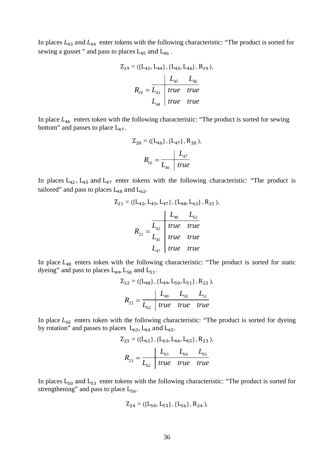In places  $L_{43}$  and  $L_{44}$  enter tokens with the following characteristic: "The product is sorted for sewing a gusset " and pass to places  $L_{45}$  and  $L_{46}$ .

$$
Z_{19} = \langle \{L_{43}, L_{44}\}, \{L_{45}, L_{46}\}, R_{19} \rangle,
$$
  

$$
R_{19} = \frac{L_{45}}{L_{43}} \begin{array}{|l|}\n\hline\ntrue & true \\
true & true\n\end{array}
$$
  

$$
L_{44} = true
$$
  

$$
true
$$
  

$$
true
$$
  

$$
true
$$

In place  $L_{46}$  enters token with the following characteristic: "The product is sorted for sewing bottom" and passes to place  $L_{47}$ .

$$
Z_{20} = \langle \{L_{46}\}, \{L_{47}\}, R_{20} \rangle,
$$
  

$$
R_{16} = \frac{L_{47}}{L_{46} \text{ true}}
$$

In places  $L_{42}$ ,  $L_{45}$  and  $L_{47}$  enter tokens with the following characteristic: "The product is tailored" and pass to places  $L_{48}$  and  $L_{62}$ .

$$
Z_{21} = \langle \{L_{42}, L_{45}, L_{47}\}, \{L_{48}, L_{62}\}, R_{21} \rangle
$$

$$
R_{21} = \frac{L_{42}}{L_{45}} \begin{array}{|l|}\n\hline\ntrue & true \\
true & true \\
\hline\nL_{47} & true & true\n\end{array}
$$

In place  $L_{48}$  enters token with the following characteristic: "The product is sorted for static dyeing" and pass to places  $L_{49}$ ,  $L_{50}$  and  $L_{51}$ .

$$
Z_{22} = \langle \{L_{48}\}, \{L_{49}, L_{50}, L_{51}\}, R_{22} \rangle,
$$
  

$$
R_{22} = \frac{L_{49}}{L_{62}} \frac{L_{50}}{true} \frac{L_{51}}{true} = true
$$

In place  $L_{62}$  enters token with the following characteristic: "The product is sorted for dyeing by rotation" and passes to places  $L_{63}$ ,  $L_{64}$  and  $L_{65}$ .

$$
Z_{23} = \langle \{L_{62}\}, \{L_{63}, L_{64}, L_{65}\}, R_{23} \rangle,
$$
  

$$
R_{23} = \frac{L_{63}}{L_{62}} \frac{L_{64}}{true} \frac{L_{65}}{true}
$$

In places  $L_{50}$  and  $L_{53}$  enter tokens with the following characteristic: "The product is sorted for strengthening" and pass to place  $L_{56}$ .

$$
Z_{24}=\langle\{L_{50},\,L_{53}\}\,,\{L_{56}\}\,,\,R_{24}\,\rangle,\,
$$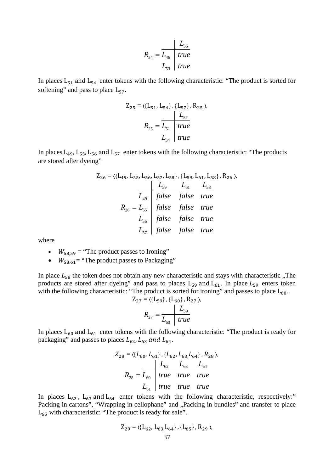$$
R_{24} = \frac{L_{56}}{L_{46}} \quad true
$$
  

$$
L_{53} \quad true
$$

In places  $L_{51}$  and  $L_{54}$  enter tokens with the following characteristic: "The product is sorted for softening" and pass to place  $L_{57}$ .

$$
Z_{25} = \langle \{L_{51}, L_{54}\}, \{L_{57}\}, R_{25} \rangle,
$$
  

$$
R_{25} = \frac{L_{51}}{L_{51}} = \frac{true}{true}
$$
  

$$
L_{54} = true
$$

In places  $L_{49}$ ,  $L_{55}$ ,  $L_{56}$  and  $L_{57}$  enter tokens with the following characteristic: "The products are stored after dyeing"

$$
Z_{26} = \langle \{L_{49}, L_{55}, L_{56}, L_{57}, L_{58}\}, \{L_{59}, L_{61}, L_{58}\}, R_{26} \rangle,
$$
  
\n
$$
L_{59} L_{61} L_{58}
$$
  
\n
$$
L_{49} false false true
$$
  
\n
$$
R_{26} = L_{55}
$$
  
\n
$$
false false true
$$
  
\n
$$
L_{56}
$$
  
\n
$$
false false true
$$
  
\n
$$
L_{57}
$$
  
\n
$$
false false true
$$
  
\n
$$
false false true
$$

where

- $W_{58,59}$  = "The product passes to Ironing"
- $\bullet$   $W_{58,61}$ = "The product passes to Packaging"

In place  $L_{58}$  the token does not obtain any new characteristic and stays with characteristic ., The products are stored after dyeing" and pass to places  $L_{59}$  and  $L_{61}$ . In place  $L_{59}$  enters token with the following characteristic: "The product is sorted for ironing" and passes to place  $L_{60}$ .

$$
Z_{27} = \langle \{L_{59}\}, \{L_{60}\}, R_{27} \rangle,
$$
  

$$
R_{27} = \frac{L_{59}}{L_{60}} \text{ true}
$$

In places  $L_{60}$  and  $L_{61}$  enter tokens with the following characteristic: "The product is ready for packaging" and passes to places  $L_{62}$ ,  $L_{63}$  and  $L_{64}$ .

$$
Z_{28} = \langle \{L_{60}, L_{61}\}, \{L_{62}, L_{63}, L_{64}\}, R_{28} \rangle,
$$
  

$$
R_{28} = \frac{L_{60}}{L_{60}} \begin{array}{|l|}\n \hline \text{true} & \text{true} & \text{true} \\
 \hline \text{true} & \text{true} & \text{true} \\
 \hline \text{true} & \text{true} & \text{true} \\
 \hline \end{array}
$$

In places  $L_{62}$ ,  $L_{63}$  and  $L_{64}$  enter tokens with the following characteristic, respectively:" Packing in cartons", "Wrapping in cellophane" and "Packing in bundles" and transfer to place  $L_{65}$  with characteristic: "The product is ready for sale".

$$
Z_{29}=\langle\{L_{62},\,L_{63},\!L_{64}\}\,,\{L_{65}\}\,,\,R_{29}\,\rangle,\,
$$